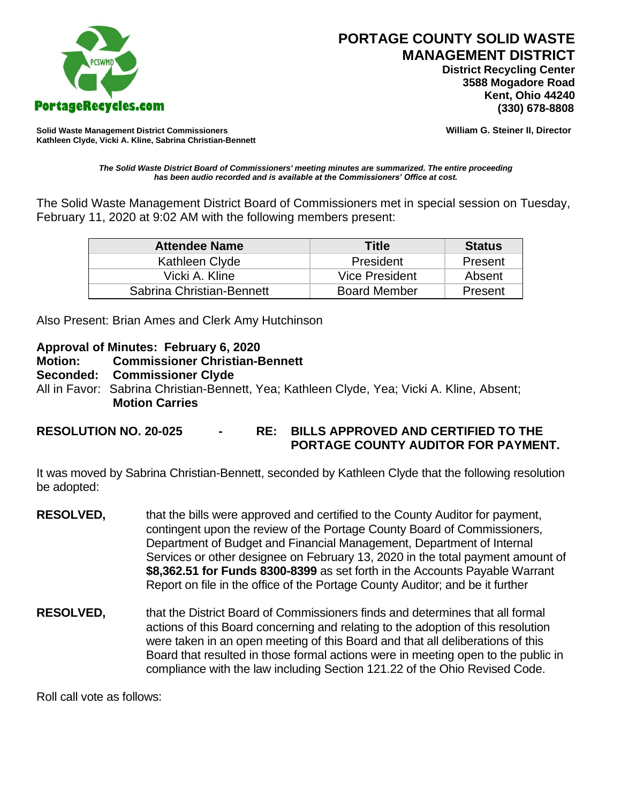

 **District Recycling Center 3588 Mogadore Road Kent, Ohio 44240**

**Solid Waste Management District Commissioners William G. Steiner II, Director Kathleen Clyde, Vicki A. Kline, Sabrina Christian-Bennett** 

*The Solid Waste District Board of Commissioners' meeting minutes are summarized. The entire proceeding has been audio recorded and is available at the Commissioners' Office at cost.*

The Solid Waste Management District Board of Commissioners met in special session on Tuesday, February 11, 2020 at 9:02 AM with the following members present:

| <b>Attendee Name</b>      | <b>Title</b>        | <b>Status</b> |
|---------------------------|---------------------|---------------|
| Kathleen Clyde            | President           | Present       |
| Vicki A. Kline            | Vice President      | Absent        |
| Sabrina Christian-Bennett | <b>Board Member</b> | Present       |

Also Present: Brian Ames and Clerk Amy Hutchinson

## **Approval of Minutes: February 6, 2020**

- **Motion: Commissioner Christian-Bennett**
- **Seconded: Commissioner Clyde**
- All in Favor: Sabrina Christian-Bennett, Yea; Kathleen Clyde, Yea; Vicki A. Kline, Absent; **Motion Carries**
- **RESOLUTION NO. 20-025 - RE: BILLS APPROVED AND CERTIFIED TO THE PORTAGE COUNTY AUDITOR FOR PAYMENT.**

It was moved by Sabrina Christian-Bennett, seconded by Kathleen Clyde that the following resolution be adopted:

- **RESOLVED,** that the bills were approved and certified to the County Auditor for payment, contingent upon the review of the Portage County Board of Commissioners, Department of Budget and Financial Management, Department of Internal Services or other designee on February 13, 2020 in the total payment amount of **\$8,362.51 for Funds 8300-8399** as set forth in the Accounts Payable Warrant Report on file in the office of the Portage County Auditor; and be it further
- **RESOLVED,** that the District Board of Commissioners finds and determines that all formal actions of this Board concerning and relating to the adoption of this resolution were taken in an open meeting of this Board and that all deliberations of this Board that resulted in those formal actions were in meeting open to the public in compliance with the law including Section 121.22 of the Ohio Revised Code.

Roll call vote as follows: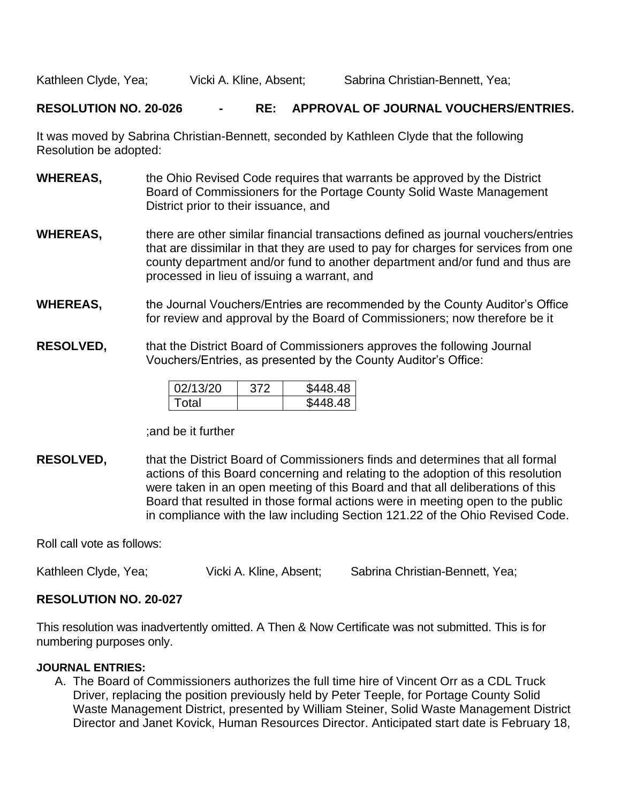Kathleen Clyde, Yea;  $V$ icki A. Kline, Absent; Sabrina Christian-Bennett, Yea;

### **RESOLUTION NO. 20-026 - RE: APPROVAL OF JOURNAL VOUCHERS/ENTRIES.**

It was moved by Sabrina Christian-Bennett, seconded by Kathleen Clyde that the following Resolution be adopted:

- **WHEREAS,** the Ohio Revised Code requires that warrants be approved by the District Board of Commissioners for the Portage County Solid Waste Management District prior to their issuance, and
- **WHEREAS,** there are other similar financial transactions defined as journal vouchers/entries that are dissimilar in that they are used to pay for charges for services from one county department and/or fund to another department and/or fund and thus are processed in lieu of issuing a warrant, and
- **WHEREAS,** the Journal Vouchers/Entries are recommended by the County Auditor's Office for review and approval by the Board of Commissioners; now therefore be it
- **RESOLVED,** that the District Board of Commissioners approves the following Journal Vouchers/Entries, as presented by the County Auditor's Office:

| 02/13/20 | 372 | \$448.48 |
|----------|-----|----------|
| Total    |     | \$448.48 |

#### ;and be it further

**RESOLVED,** that the District Board of Commissioners finds and determines that all formal actions of this Board concerning and relating to the adoption of this resolution were taken in an open meeting of this Board and that all deliberations of this Board that resulted in those formal actions were in meeting open to the public in compliance with the law including Section 121.22 of the Ohio Revised Code.

Roll call vote as follows:

Kathleen Clyde, Yea; Vicki A. Kline, Absent; Sabrina Christian-Bennett, Yea;

### **RESOLUTION NO. 20-027**

This resolution was inadvertently omitted. A Then & Now Certificate was not submitted. This is for numbering purposes only.

#### **JOURNAL ENTRIES:**

A. The Board of Commissioners authorizes the full time hire of Vincent Orr as a CDL Truck Driver, replacing the position previously held by Peter Teeple, for Portage County Solid Waste Management District, presented by William Steiner, Solid Waste Management District Director and Janet Kovick, Human Resources Director. Anticipated start date is February 18,